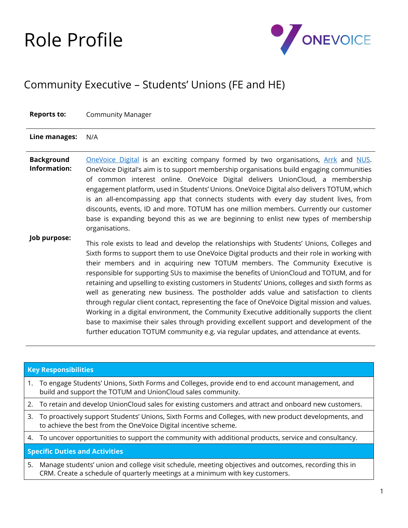## Role Profile



## Community Executive – Students' Unions (FE and HE)

| <b>Reports to:</b>                | <b>Community Manager</b>                                                                                                                                                                                                                                                                                                                                                                                                                                                                                                                                                                                                                                                                                                                                                                                                                                                                                                                             |
|-----------------------------------|------------------------------------------------------------------------------------------------------------------------------------------------------------------------------------------------------------------------------------------------------------------------------------------------------------------------------------------------------------------------------------------------------------------------------------------------------------------------------------------------------------------------------------------------------------------------------------------------------------------------------------------------------------------------------------------------------------------------------------------------------------------------------------------------------------------------------------------------------------------------------------------------------------------------------------------------------|
| Line manages:                     | N/A                                                                                                                                                                                                                                                                                                                                                                                                                                                                                                                                                                                                                                                                                                                                                                                                                                                                                                                                                  |
| <b>Background</b><br>Information: | <b>OneVoice Digital is an exciting company formed by two organisations, Arrk and NUS.</b><br>OneVoice Digital's aim is to support membership organisations build engaging communities<br>of common interest online. OneVoice Digital delivers UnionCloud, a membership<br>engagement platform, used in Students' Unions. OneVoice Digital also delivers TOTUM, which<br>is an all-encompassing app that connects students with every day student lives, from<br>discounts, events, ID and more. TOTUM has one million members. Currently our customer<br>base is expanding beyond this as we are beginning to enlist new types of membership<br>organisations.                                                                                                                                                                                                                                                                                       |
| Job purpose:                      | This role exists to lead and develop the relationships with Students' Unions, Colleges and<br>Sixth forms to support them to use OneVoice Digital products and their role in working with<br>their members and in acquiring new TOTUM members. The Community Executive is<br>responsible for supporting SUs to maximise the benefits of UnionCloud and TOTUM, and for<br>retaining and upselling to existing customers in Students' Unions, colleges and sixth forms as<br>well as generating new business. The postholder adds value and satisfaction to clients<br>through regular client contact, representing the face of OneVoice Digital mission and values.<br>Working in a digital environment, the Community Executive additionally supports the client<br>base to maximise their sales through providing excellent support and development of the<br>further education TOTUM community e.g. via regular updates, and attendance at events. |

| <b>Key Responsibilities</b>           |                                                                                                                                                                                        |  |  |
|---------------------------------------|----------------------------------------------------------------------------------------------------------------------------------------------------------------------------------------|--|--|
| 1.                                    | To engage Students' Unions, Sixth Forms and Colleges, provide end to end account management, and<br>build and support the TOTUM and UnionCloud sales community.                        |  |  |
|                                       | 2. To retain and develop UnionCloud sales for existing customers and attract and onboard new customers.                                                                                |  |  |
|                                       | 3. To proactively support Students' Unions, Sixth Forms and Colleges, with new product developments, and<br>to achieve the best from the OneVoice Digital incentive scheme.            |  |  |
|                                       | 4. To uncover opportunities to support the community with additional products, service and consultancy.                                                                                |  |  |
| <b>Specific Duties and Activities</b> |                                                                                                                                                                                        |  |  |
| 5.                                    | Manage students' union and college visit schedule, meeting objectives and outcomes, recording this in<br>CRM. Create a schedule of quarterly meetings at a minimum with key customers. |  |  |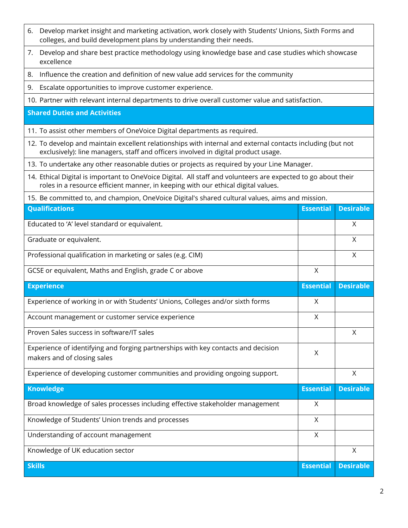| Develop market insight and marketing activation, work closely with Students' Unions, Sixth Forms and<br>6.<br>colleges, and build development plans by understanding their needs.                  |                  |                  |  |  |  |
|----------------------------------------------------------------------------------------------------------------------------------------------------------------------------------------------------|------------------|------------------|--|--|--|
| Develop and share best practice methodology using knowledge base and case studies which showcase<br>7.<br>excellence                                                                               |                  |                  |  |  |  |
| Influence the creation and definition of new value add services for the community<br>8.                                                                                                            |                  |                  |  |  |  |
| Escalate opportunities to improve customer experience.<br>9.                                                                                                                                       |                  |                  |  |  |  |
| 10. Partner with relevant internal departments to drive overall customer value and satisfaction.                                                                                                   |                  |                  |  |  |  |
| <b>Shared Duties and Activities</b>                                                                                                                                                                |                  |                  |  |  |  |
| 11. To assist other members of OneVoice Digital departments as required.                                                                                                                           |                  |                  |  |  |  |
| 12. To develop and maintain excellent relationships with internal and external contacts including (but not<br>exclusively): line managers, staff and officers involved in digital product usage.   |                  |                  |  |  |  |
| 13. To undertake any other reasonable duties or projects as required by your Line Manager.                                                                                                         |                  |                  |  |  |  |
| 14. Ethical Digital is important to OneVoice Digital. All staff and volunteers are expected to go about their<br>roles in a resource efficient manner, in keeping with our ethical digital values. |                  |                  |  |  |  |
| 15. Be committed to, and champion, OneVoice Digital's shared cultural values, aims and mission.                                                                                                    |                  |                  |  |  |  |
| <b>Qualifications</b>                                                                                                                                                                              | <b>Essential</b> | <b>Desirable</b> |  |  |  |
| Educated to 'A' level standard or equivalent.                                                                                                                                                      |                  | Χ                |  |  |  |
| Graduate or equivalent.                                                                                                                                                                            |                  | X                |  |  |  |
| Professional qualification in marketing or sales (e.g. CIM)                                                                                                                                        |                  | X                |  |  |  |
| GCSE or equivalent, Maths and English, grade C or above                                                                                                                                            | X                |                  |  |  |  |
| <b>Experience</b>                                                                                                                                                                                  | <b>Essential</b> | <b>Desirable</b> |  |  |  |
| Experience of working in or with Students' Unions, Colleges and/or sixth forms                                                                                                                     | Χ                |                  |  |  |  |
| Account management or customer service experience                                                                                                                                                  | X                |                  |  |  |  |
| Proven Sales success in software/IT sales                                                                                                                                                          |                  | X                |  |  |  |
| Experience of identifying and forging partnerships with key contacts and decision<br>makers and of closing sales                                                                                   |                  |                  |  |  |  |
| Experience of developing customer communities and providing ongoing support.                                                                                                                       |                  | X                |  |  |  |
| <b>Knowledge</b>                                                                                                                                                                                   | <b>Essential</b> | <b>Desirable</b> |  |  |  |
| Broad knowledge of sales processes including effective stakeholder management                                                                                                                      | X                |                  |  |  |  |
| Knowledge of Students' Union trends and processes                                                                                                                                                  |                  |                  |  |  |  |
| Understanding of account management                                                                                                                                                                |                  |                  |  |  |  |
| Knowledge of UK education sector                                                                                                                                                                   |                  | Χ                |  |  |  |
| <b>Skills</b>                                                                                                                                                                                      | <b>Essential</b> | <b>Desirable</b> |  |  |  |